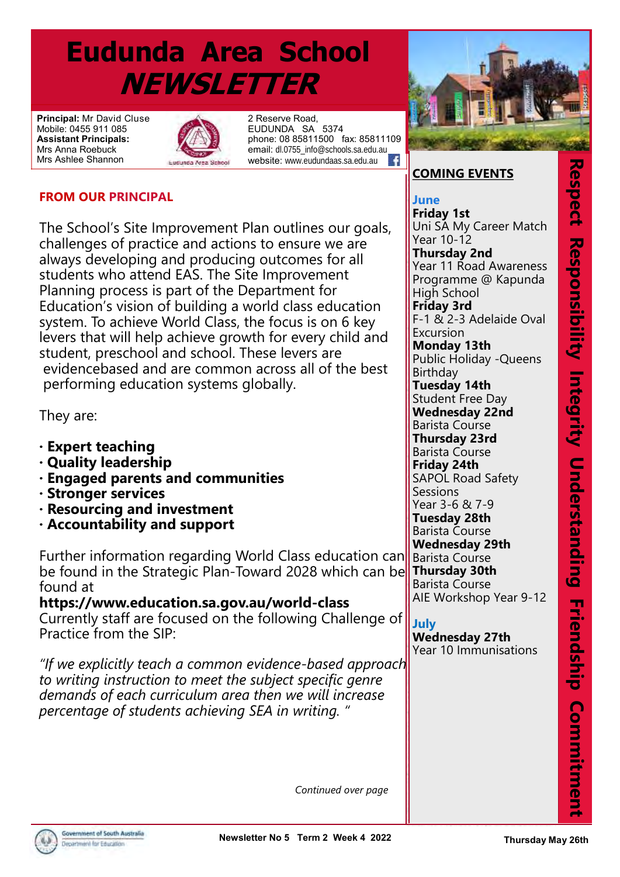# **Eudunda Area School NEWSLETTER**

**Principal:** Mr David Cluse Mobile: 0455 911 085 **Assistant Principals:**  Mrs Anna Roebuck Mrs Ashlee Shannon



2 Reserve Road, EUDUNDA SA 5374 phone: 08 85811500 fax: 85811109 email: dl.0755\_info@schools.sa.edu.au<br>website: www.eudundaas.sa.edu.au website: www.eudundaas.sa.edu.au

## **FROM OUR PRINCIPAL**

The School's Site Improvement Plan outlines our goals, challenges of practice and actions to ensure we are always developing and producing outcomes for all students who attend EAS. The Site Improvement Planning process is part of the Department for Education's vision of building a world class education system. To achieve World Class, the focus is on 6 key levers that will help achieve growth for every child and student, preschool and school. These levers are evidencebased and are common across all of the best performing education systems globally.

They are:

- **· Expert teaching**
- **· Quality leadership**
- **· Engaged parents and communities**
- **· Stronger services**
- **· Resourcing and investment**
- **· Accountability and support**

Further information regarding World Class education can be found in the Strategic Plan-Toward 2028 which can be found at

**https://www.education.sa.gov.au/world-class** Currently staff are focused on the following Challenge of Practice from the SIP:

*"If we explicitly teach a common evidence-based approach to writing instruction to meet the subject specific genre demands of each curriculum area then we will increase percentage of students achieving SEA in writing. "*



## **COMING EVENTS**

**COMING EVENTS June** Uni SA My Career Match **Year 10-12 Friday 1st**

**Thursday 2nd** Year 11 Road Awareness High School Programme @ Kapunda

**Friday 3rd F-1 & 2-3 Adelaide Oval** 

Excursion **Tuesday 27th Monday 13th** Public Holiday -Queens **Student Free Day Wednesday 22nd** Barista Course **Fridisday 251 Friday 24th SAPOL Road Safety** Birthday **Tuesday 14th Thursday 23rd**

**Sessions Year 3-6 & 7-9** 

**Tuesday 28th**<br>Parista Course **Friday 16th Wednesday 29th** Barista Course

Barista Course **Thursday 30th** Barista Course **AIE Workshop Year 9-12** 

Primary SLC Leadership Day **July**

**Friday 30th**

**Monday 2nd**

**Sunday 22nd**

Open Day

*APRIL*

**Wednesday 28th Wednesday 27th** Year 10 Immunisations

Good Friday Public Holiday

Easter Monday Public Holiday

EAS 70th Year Reunion and

**Thursday May 26th**<br>Thursday May 26th<br>Thursday May 26th<br>Thursday May 26th **Respect Responsibility Integrity Onderstanding Friendship Commitment** 

 *Continued over page*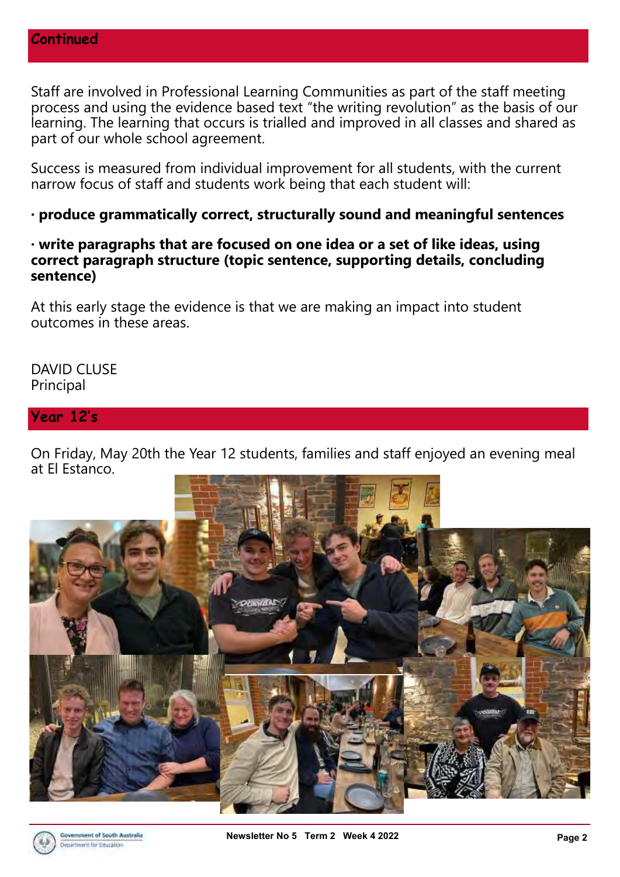Staff are involved in Professional Learning Communities as part of the staff meeting process and using the evidence based text "the writing revolution" as the basis of our learning. The learning that occurs is trialled and improved in all classes and shared as part of our whole school agreement.

Success is measured from individual improvement for all students, with the current narrow focus of staff and students work being that each student will:

**· produce grammatically correct, structurally sound and meaningful sentences**

**· write paragraphs that are focused on one idea or a set of like ideas, using correct paragraph structure (topic sentence, supporting details, concluding sentence)**

At this early stage the evidence is that we are making an impact into student outcomes in these areas.

DAVID CLUSE Principal

#### **Year 12's**

On Friday, May 20th the Year 12 students, families and staff enjoyed an evening meal at El Estanco.

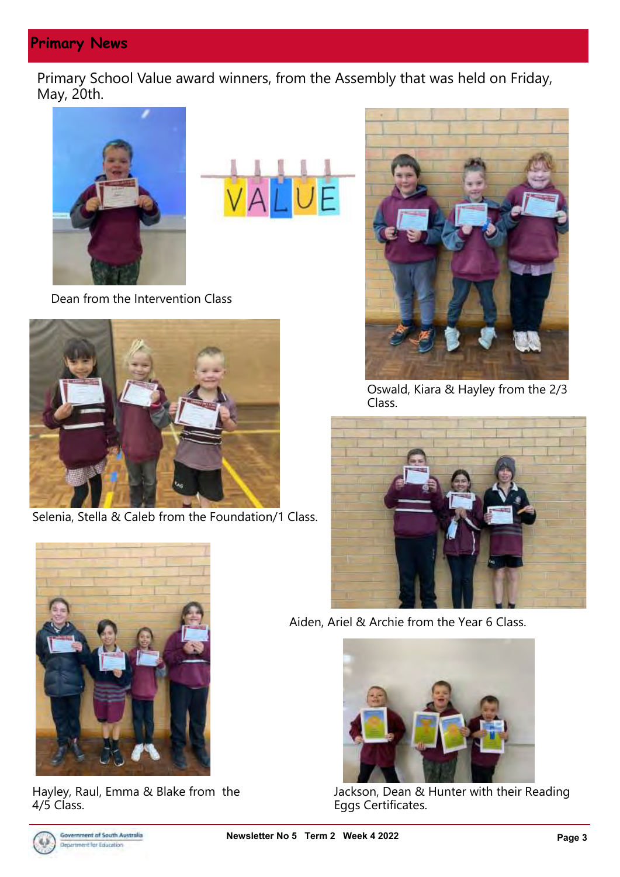# **Primary News**

Primary School Value award winners, from the Assembly that was held on Friday, May, 20th.





Dean from the Intervention Class



Selenia, Stella & Caleb from the Foundation/1 Class.



Oswald, Kiara & Hayley from the 2/3 Class.



Aiden, Ariel & Archie from the Year 6 Class.



Jackson, Dean & Hunter with their Reading Eggs Certificates.



Hayley, Raul, Emma & Blake from the 4/5 Class.

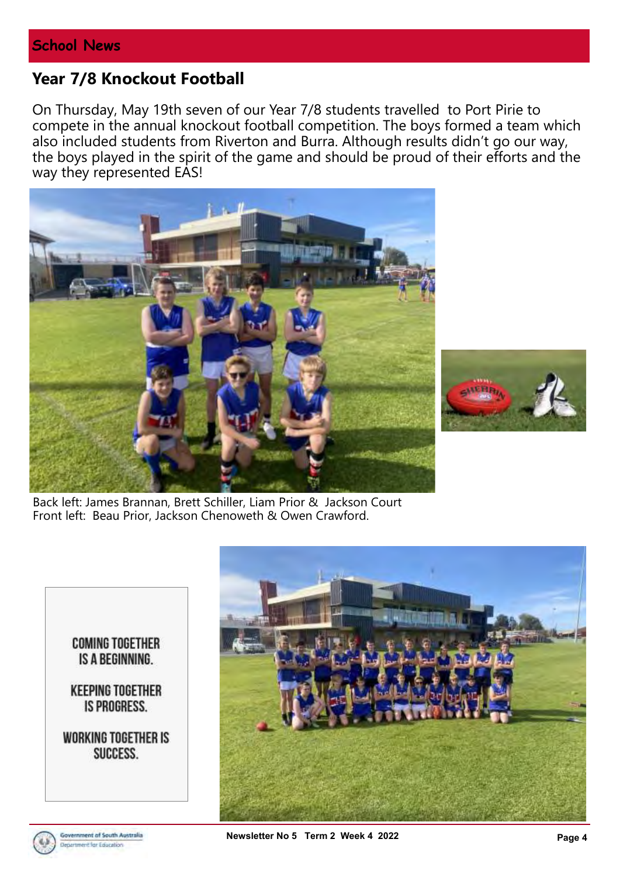## **Year 7/8 Knockout Football**

On Thursday, May 19th seven of our Year 7/8 students travelled to Port Pirie to compete in the annual knockout football competition. The boys formed a team which also included students from Riverton and Burra. Although results didn't go our way, the boys played in the spirit of the game and should be proud of their efforts and the way they represented EAS!





Back left: James Brannan, Brett Schiller, Liam Prior & Jackson Court Front left: Beau Prior, Jackson Chenoweth & Owen Crawford.

> **COMING TOGETHER** IS A BEGINNING.

**KEEPING TOGETHER** IS PROGRESS.

**WORKING TOGETHER IS** SUCCESS.



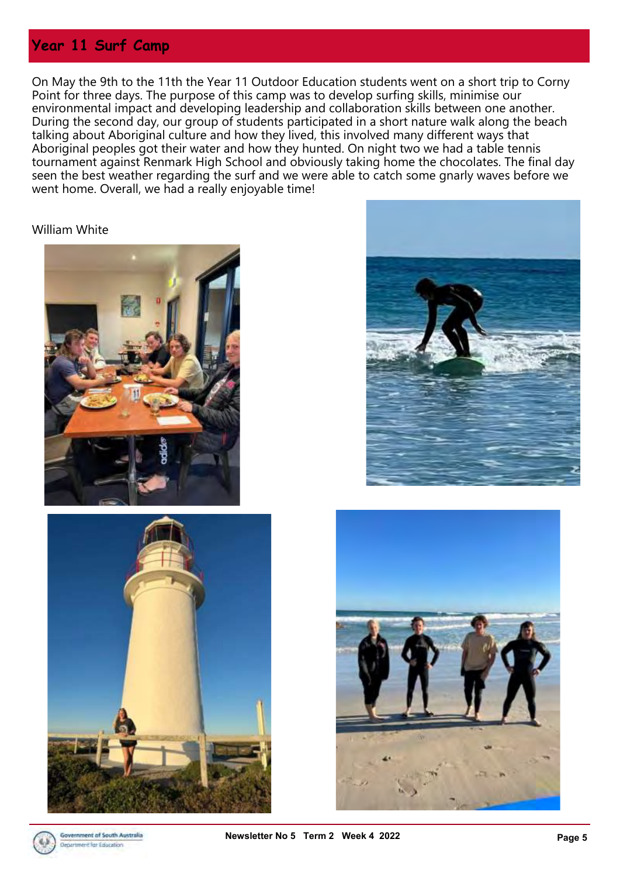## **Year 11 Surf Camp**

On May the 9th to the 11th the Year 11 Outdoor Education students went on a short trip to Corny Point for three days. The purpose of this camp was to develop surfing skills, minimise our environmental impact and developing leadership and collaboration skills between one another. During the second day, our group of students participated in a short nature walk along the beach talking about Aboriginal culture and how they lived, this involved many different ways that Aboriginal peoples got their water and how they hunted. On night two we had a table tennis tournament against Renmark High School and obviously taking home the chocolates. The final day seen the best weather regarding the surf and we were able to catch some gnarly waves before we went home. Overall, we had a really enjoyable time!

#### William White









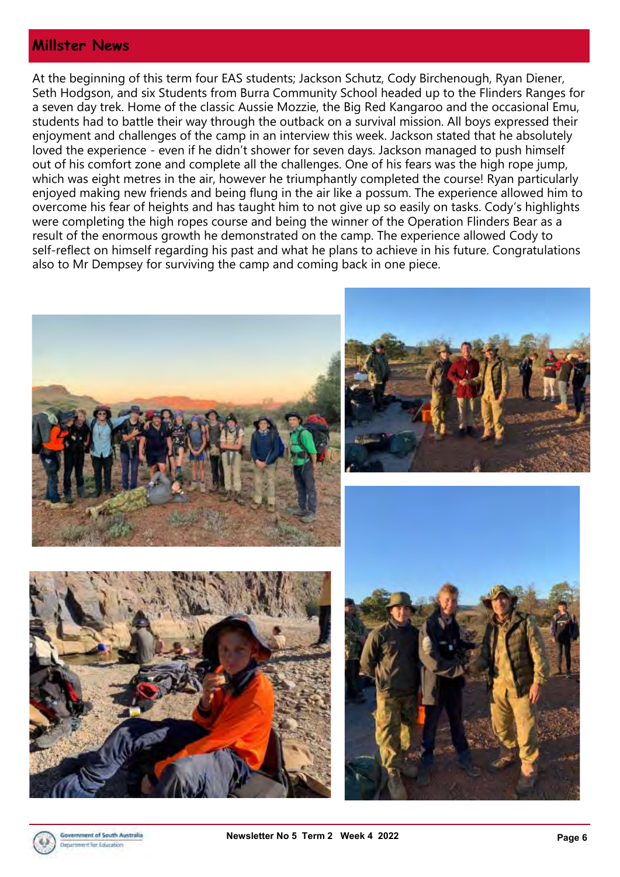#### **Millster News**

At the beginning of this term four EAS students; Jackson Schutz, Cody Birchenough, Ryan Diener, Seth Hodgson, and six Students from Burra Community School headed up to the Flinders Ranges for a seven day trek. Home of the classic Aussie Mozzie, the Big Red Kangaroo and the occasional Emu, students had to battle their way through the outback on a survival mission. All boys expressed their enjoyment and challenges of the camp in an interview this week. Jackson stated that he absolutely loved the experience - even if he didn't shower for seven days. Jackson managed to push himself out of his comfort zone and complete all the challenges. One of his fears was the high rope jump, which was eight metres in the air, however he triumphantly completed the course! Ryan particularly enjoyed making new friends and being flung in the air like a possum. The experience allowed him to overcome his fear of heights and has taught him to not give up so easily on tasks. Cody's highlights were completing the high ropes course and being the winner of the Operation Flinders Bear as a result of the enormous growth he demonstrated on the camp. The experience allowed Cody to self-reflect on himself regarding his past and what he plans to achieve in his future. Congratulations also to Mr Dempsey for surviving the camp and coming back in one piece.

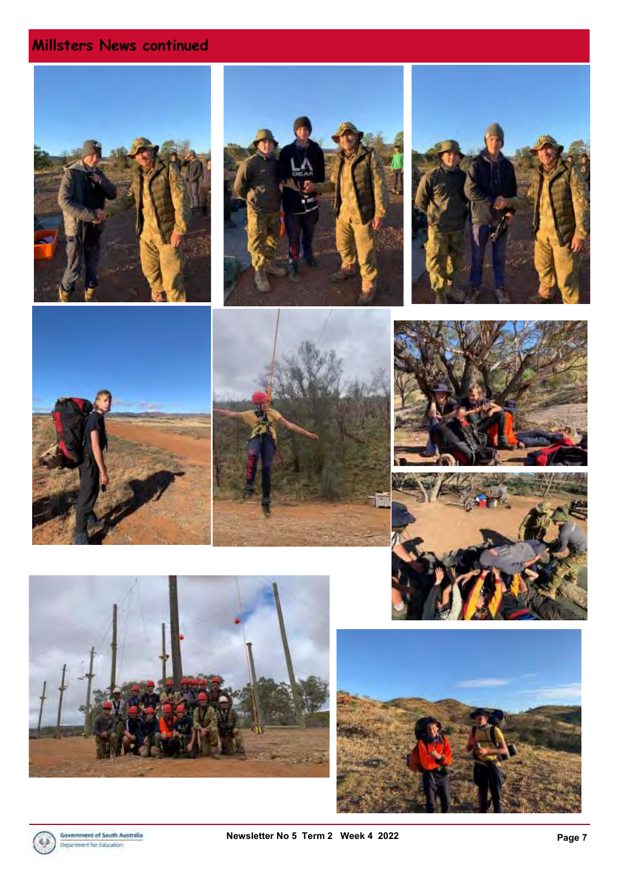# **Millsters News continued**



















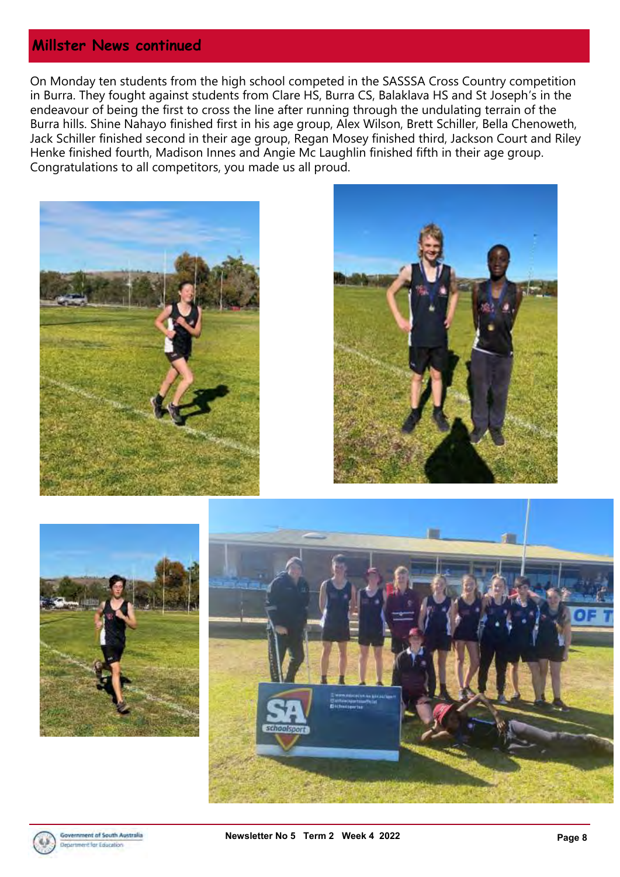## **Millster News continued**

On Monday ten students from the high school competed in the SASSSA Cross Country competition in Burra. They fought against students from Clare HS, Burra CS, Balaklava HS and St Joseph's in the endeavour of being the first to cross the line after running through the undulating terrain of the Burra hills. Shine Nahayo finished first in his age group, Alex Wilson, Brett Schiller, Bella Chenoweth, Jack Schiller finished second in their age group, Regan Mosey finished third, Jackson Court and Riley Henke finished fourth, Madison Innes and Angie Mc Laughlin finished fifth in their age group. Congratulations to all competitors, you made us all proud.









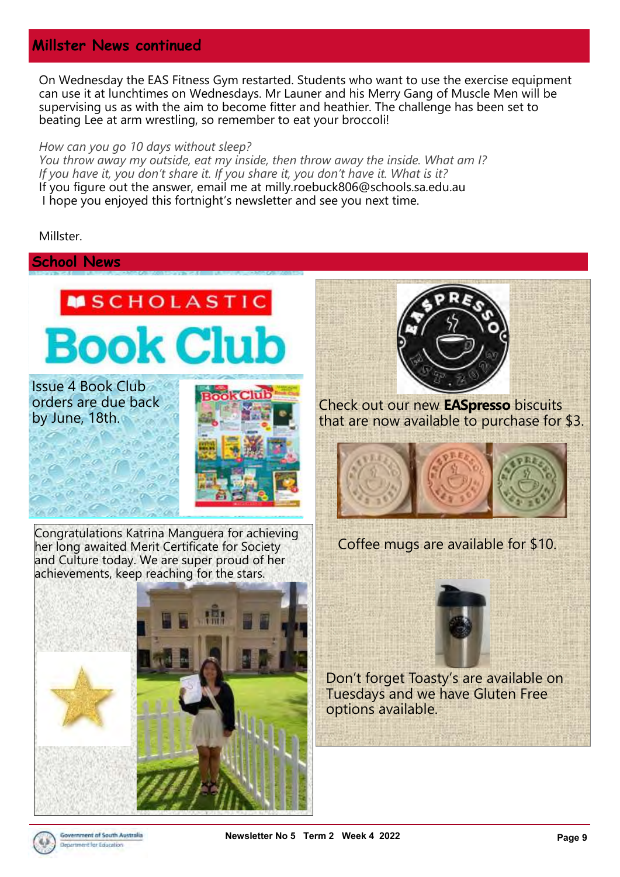### **Millster News continued**

On Wednesday the EAS Fitness Gym restarted. Students who want to use the exercise equipment can use it at lunchtimes on Wednesdays. Mr Launer and his Merry Gang of Muscle Men will be supervising us as with the aim to become fitter and heathier. The challenge has been set to beating Lee at arm wrestling, so remember to eat your broccoli!

#### *How can you go 10 days without sleep?*

*You throw away my outside, eat my inside, then throw away the inside. What am I? If you have it, you don't share it. If you share it, you don't have it. What is it?* If you figure out the answer, email me at milly.roebuck806@schools.sa.edu.au I hope you enjoyed this fortnight's newsletter and see you next time.

Millster.

#### **School News**



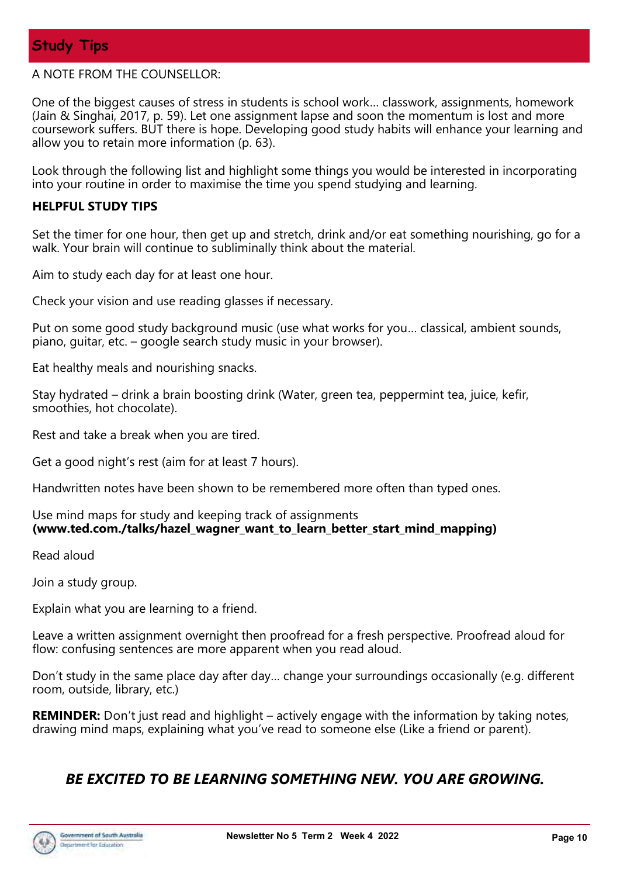#### A NOTE FROM THE COUNSELLOR:

One of the biggest causes of stress in students is school work… classwork, assignments, homework (Jain & Singhai, 2017, p. 59). Let one assignment lapse and soon the momentum is lost and more coursework suffers. BUT there is hope. Developing good study habits will enhance your learning and allow you to retain more information (p. 63).

Look through the following list and highlight some things you would be interested in incorporating into your routine in order to maximise the time you spend studying and learning.

#### **HELPFUL STUDY TIPS**

Set the timer for one hour, then get up and stretch, drink and/or eat something nourishing, go for a walk. Your brain will continue to subliminally think about the material.

Aim to study each day for at least one hour.

Check your vision and use reading glasses if necessary.

Put on some good study background music (use what works for you… classical, ambient sounds, piano, guitar, etc. – google search study music in your browser).

Eat healthy meals and nourishing snacks.

Stay hydrated – drink a brain boosting drink (Water, green tea, peppermint tea, juice, kefir, smoothies, hot chocolate).

Rest and take a break when you are tired.

Get a good night's rest (aim for at least 7 hours).

Handwritten notes have been shown to be remembered more often than typed ones.

Use mind maps for study and keeping track of assignments **(www.ted.com./talks/hazel\_wagner\_want\_to\_learn\_better\_start\_mind\_mapping)** 

Read aloud

Join a study group.

Explain what you are learning to a friend.

Leave a written assignment overnight then proofread for a fresh perspective. Proofread aloud for flow: confusing sentences are more apparent when you read aloud.

Don't study in the same place day after day… change your surroundings occasionally (e.g. different room, outside, library, etc.)

**REMINDER:** Don't just read and highlight – actively engage with the information by taking notes, drawing mind maps, explaining what you've read to someone else (Like a friend or parent).

### *BE EXCITED TO BE LEARNING SOMETHING NEW. YOU ARE GROWING.*